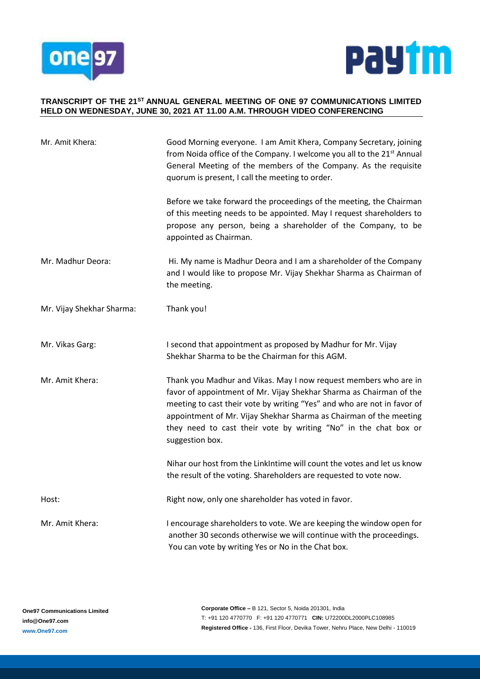



#### **TRANSCRIPT OF THE 21ST ANNUAL GENERAL MEETING OF ONE 97 COMMUNICATIONS LIMITED HELD ON WEDNESDAY, JUNE 30, 2021 AT 11.00 A.M. THROUGH VIDEO CONFERENCING**

| Mr. Amit Khera:           | Good Morning everyone. I am Amit Khera, Company Secretary, joining<br>from Noida office of the Company. I welcome you all to the 21 <sup>st</sup> Annual<br>General Meeting of the members of the Company. As the requisite<br>quorum is present, I call the meeting to order.                                                                                                 |
|---------------------------|--------------------------------------------------------------------------------------------------------------------------------------------------------------------------------------------------------------------------------------------------------------------------------------------------------------------------------------------------------------------------------|
|                           | Before we take forward the proceedings of the meeting, the Chairman<br>of this meeting needs to be appointed. May I request shareholders to<br>propose any person, being a shareholder of the Company, to be<br>appointed as Chairman.                                                                                                                                         |
| Mr. Madhur Deora:         | Hi. My name is Madhur Deora and I am a shareholder of the Company<br>and I would like to propose Mr. Vijay Shekhar Sharma as Chairman of<br>the meeting.                                                                                                                                                                                                                       |
| Mr. Vijay Shekhar Sharma: | Thank you!                                                                                                                                                                                                                                                                                                                                                                     |
| Mr. Vikas Garg:           | I second that appointment as proposed by Madhur for Mr. Vijay<br>Shekhar Sharma to be the Chairman for this AGM.                                                                                                                                                                                                                                                               |
| Mr. Amit Khera:           | Thank you Madhur and Vikas. May I now request members who are in<br>favor of appointment of Mr. Vijay Shekhar Sharma as Chairman of the<br>meeting to cast their vote by writing "Yes" and who are not in favor of<br>appointment of Mr. Vijay Shekhar Sharma as Chairman of the meeting<br>they need to cast their vote by writing "No" in the chat box or<br>suggestion box. |
|                           | Nihar our host from the LinkIntime will count the votes and let us know<br>the result of the voting. Shareholders are requested to vote now.                                                                                                                                                                                                                                   |
| Host:                     | Right now, only one shareholder has voted in favor.                                                                                                                                                                                                                                                                                                                            |
| Mr. Amit Khera:           | I encourage shareholders to vote. We are keeping the window open for<br>another 30 seconds otherwise we will continue with the proceedings.<br>You can vote by writing Yes or No in the Chat box.                                                                                                                                                                              |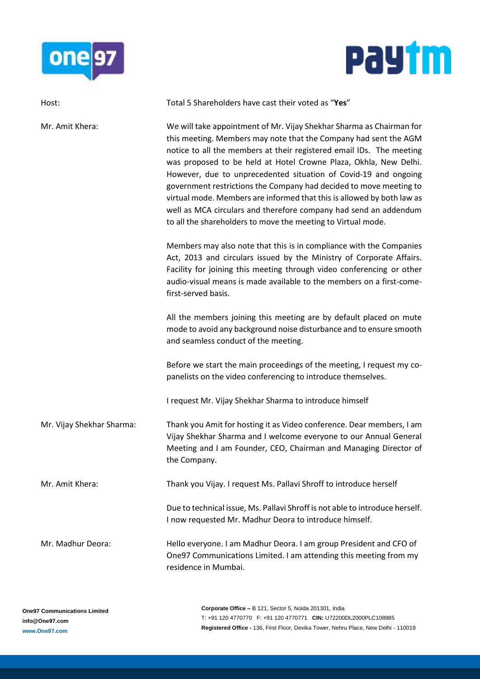



| Host:                     | Total 5 Shareholders have cast their voted as "Yes"                                                                                                                                                                                                                                                                                                                                                                                                                                                                                                                                                                                         |
|---------------------------|---------------------------------------------------------------------------------------------------------------------------------------------------------------------------------------------------------------------------------------------------------------------------------------------------------------------------------------------------------------------------------------------------------------------------------------------------------------------------------------------------------------------------------------------------------------------------------------------------------------------------------------------|
| Mr. Amit Khera:           | We will take appointment of Mr. Vijay Shekhar Sharma as Chairman for<br>this meeting. Members may note that the Company had sent the AGM<br>notice to all the members at their registered email IDs. The meeting<br>was proposed to be held at Hotel Crowne Plaza, Okhla, New Delhi.<br>However, due to unprecedented situation of Covid-19 and ongoing<br>government restrictions the Company had decided to move meeting to<br>virtual mode. Members are informed that this is allowed by both law as<br>well as MCA circulars and therefore company had send an addendum<br>to all the shareholders to move the meeting to Virtual mode. |
|                           | Members may also note that this is in compliance with the Companies<br>Act, 2013 and circulars issued by the Ministry of Corporate Affairs.<br>Facility for joining this meeting through video conferencing or other<br>audio-visual means is made available to the members on a first-come-<br>first-served basis.                                                                                                                                                                                                                                                                                                                         |
|                           | All the members joining this meeting are by default placed on mute<br>mode to avoid any background noise disturbance and to ensure smooth<br>and seamless conduct of the meeting.                                                                                                                                                                                                                                                                                                                                                                                                                                                           |
|                           | Before we start the main proceedings of the meeting, I request my co-<br>panelists on the video conferencing to introduce themselves.<br>I request Mr. Vijay Shekhar Sharma to introduce himself                                                                                                                                                                                                                                                                                                                                                                                                                                            |
|                           |                                                                                                                                                                                                                                                                                                                                                                                                                                                                                                                                                                                                                                             |
| Mr. Vijay Shekhar Sharma: | Thank you Amit for hosting it as Video conference. Dear members, I am<br>Vijay Shekhar Sharma and I welcome everyone to our Annual General<br>Meeting and I am Founder, CEO, Chairman and Managing Director of<br>the Company.                                                                                                                                                                                                                                                                                                                                                                                                              |
| Mr. Amit Khera:           | Thank you Vijay. I request Ms. Pallavi Shroff to introduce herself                                                                                                                                                                                                                                                                                                                                                                                                                                                                                                                                                                          |
|                           | Due to technical issue, Ms. Pallavi Shroff is not able to introduce herself.<br>I now requested Mr. Madhur Deora to introduce himself.                                                                                                                                                                                                                                                                                                                                                                                                                                                                                                      |
| Mr. Madhur Deora:         | Hello everyone. I am Madhur Deora. I am group President and CFO of<br>One97 Communications Limited. I am attending this meeting from my<br>residence in Mumbai.                                                                                                                                                                                                                                                                                                                                                                                                                                                                             |
|                           |                                                                                                                                                                                                                                                                                                                                                                                                                                                                                                                                                                                                                                             |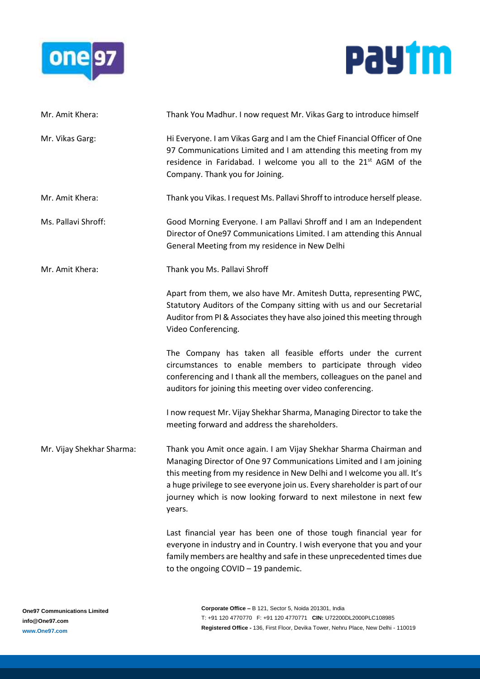



| Mr. Amit Khera:           | Thank You Madhur. I now request Mr. Vikas Garg to introduce himself                                                                                                                                                                                                                                                                                                               |
|---------------------------|-----------------------------------------------------------------------------------------------------------------------------------------------------------------------------------------------------------------------------------------------------------------------------------------------------------------------------------------------------------------------------------|
| Mr. Vikas Garg:           | Hi Everyone. I am Vikas Garg and I am the Chief Financial Officer of One<br>97 Communications Limited and I am attending this meeting from my<br>residence in Faridabad. I welcome you all to the 21 <sup>st</sup> AGM of the<br>Company. Thank you for Joining.                                                                                                                  |
| Mr. Amit Khera:           | Thank you Vikas. I request Ms. Pallavi Shroff to introduce herself please.                                                                                                                                                                                                                                                                                                        |
| Ms. Pallavi Shroff:       | Good Morning Everyone. I am Pallavi Shroff and I am an Independent<br>Director of One97 Communications Limited. I am attending this Annual<br>General Meeting from my residence in New Delhi                                                                                                                                                                                      |
| Mr. Amit Khera:           | Thank you Ms. Pallavi Shroff                                                                                                                                                                                                                                                                                                                                                      |
|                           | Apart from them, we also have Mr. Amitesh Dutta, representing PWC,<br>Statutory Auditors of the Company sitting with us and our Secretarial<br>Auditor from PI & Associates they have also joined this meeting through<br>Video Conferencing.                                                                                                                                     |
|                           | The Company has taken all feasible efforts under the current<br>circumstances to enable members to participate through video<br>conferencing and I thank all the members, colleagues on the panel and<br>auditors for joining this meeting over video conferencing.                                                                                                               |
|                           | I now request Mr. Vijay Shekhar Sharma, Managing Director to take the<br>meeting forward and address the shareholders.                                                                                                                                                                                                                                                            |
| Mr. Vijay Shekhar Sharma: | Thank you Amit once again. I am Vijay Shekhar Sharma Chairman and<br>Managing Director of One 97 Communications Limited and I am joining<br>this meeting from my residence in New Delhi and I welcome you all. It's<br>a huge privilege to see everyone join us. Every shareholder is part of our<br>journey which is now looking forward to next milestone in next few<br>years. |
|                           | Last financial year has been one of those tough financial year for<br>everyone in industry and in Country. I wish everyone that you and your<br>family members are healthy and safe in these unprecedented times due<br>to the ongoing $COVID - 19$ pandemic.                                                                                                                     |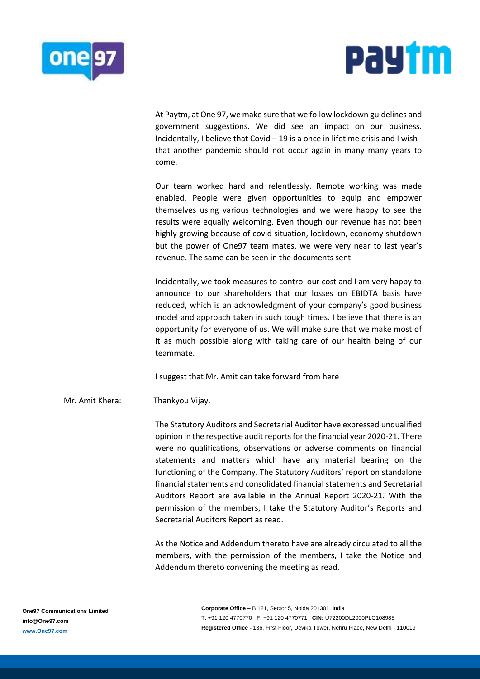



At Paytm, at One 97, we make sure that we follow lockdown guidelines and government suggestions. We did see an impact on our business. Incidentally, I believe that Covid – 19 is a once in lifetime crisis and I wish that another pandemic should not occur again in many many years to come.

Our team worked hard and relentlessly. Remote working was made enabled. People were given opportunities to equip and empower themselves using various technologies and we were happy to see the results were equally welcoming. Even though our revenue has not been highly growing because of covid situation, lockdown, economy shutdown but the power of One97 team mates, we were very near to last year's revenue. The same can be seen in the documents sent.

Incidentally, we took measures to control our cost and I am very happy to announce to our shareholders that our losses on EBIDTA basis have reduced, which is an acknowledgment of your company's good business model and approach taken in such tough times. I believe that there is an opportunity for everyone of us. We will make sure that we make most of it as much possible along with taking care of our health being of our teammate.

I suggest that Mr. Amit can take forward from here

Mr. Amit Khera: Thankyou Vijay.

The Statutory Auditors and Secretarial Auditor have expressed unqualified opinion in the respective audit reports for the financial year 2020-21. There were no qualifications, observations or adverse comments on financial statements and matters which have any material bearing on the functioning of the Company. The Statutory Auditors' report on standalone financial statements and consolidated financial statements and Secretarial Auditors Report are available in the Annual Report 2020-21. With the permission of the members, I take the Statutory Auditor's Reports and Secretarial Auditors Report as read.

As the Notice and Addendum thereto have are already circulated to all the members, with the permission of the members, I take the Notice and Addendum thereto convening the meeting as read.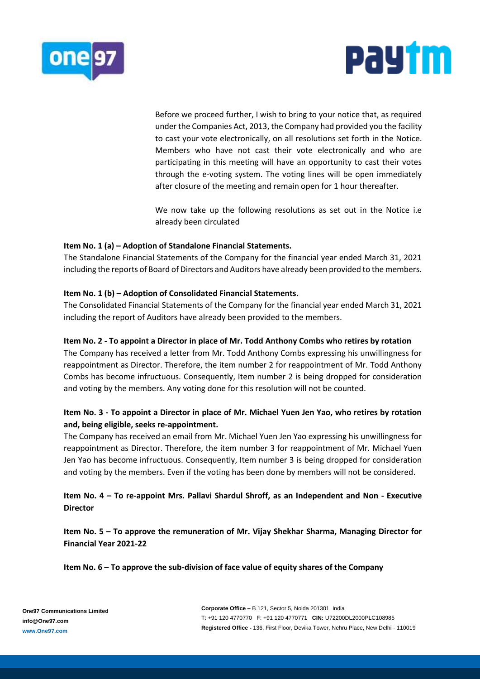



Before we proceed further, I wish to bring to your notice that, as required under the Companies Act, 2013, the Company had provided you the facility to cast your vote electronically, on all resolutions set forth in the Notice. Members who have not cast their vote electronically and who are participating in this meeting will have an opportunity to cast their votes through the e-voting system. The voting lines will be open immediately after closure of the meeting and remain open for 1 hour thereafter.

We now take up the following resolutions as set out in the Notice i.e already been circulated

## **Item No. 1 (a) – Adoption of Standalone Financial Statements.**

The Standalone Financial Statements of the Company for the financial year ended March 31, 2021 including the reports of Board of Directors and Auditors have already been provided to the members.

## **Item No. 1 (b) – Adoption of Consolidated Financial Statements.**

The Consolidated Financial Statements of the Company for the financial year ended March 31, 2021 including the report of Auditors have already been provided to the members.

### **Item No. 2 - To appoint a Director in place of Mr. Todd Anthony Combs who retires by rotation**

The Company has received a letter from Mr. Todd Anthony Combs expressing his unwillingness for reappointment as Director. Therefore, the item number 2 for reappointment of Mr. Todd Anthony Combs has become infructuous. Consequently, Item number 2 is being dropped for consideration and voting by the members. Any voting done for this resolution will not be counted.

# **Item No. 3 - To appoint a Director in place of Mr. Michael Yuen Jen Yao, who retires by rotation and, being eligible, seeks re-appointment.**

The Company has received an email from Mr. Michael Yuen Jen Yao expressing his unwillingness for reappointment as Director. Therefore, the item number 3 for reappointment of Mr. Michael Yuen Jen Yao has become infructuous. Consequently, Item number 3 is being dropped for consideration and voting by the members. Even if the voting has been done by members will not be considered.

**Item No. 4 – To re-appoint Mrs. Pallavi Shardul Shroff, as an Independent and Non - Executive Director**

**Item No. 5 – To approve the remuneration of Mr. Vijay Shekhar Sharma, Managing Director for Financial Year 2021-22**

**Item No. 6 – To approve the sub-division of face value of equity shares of the Company**